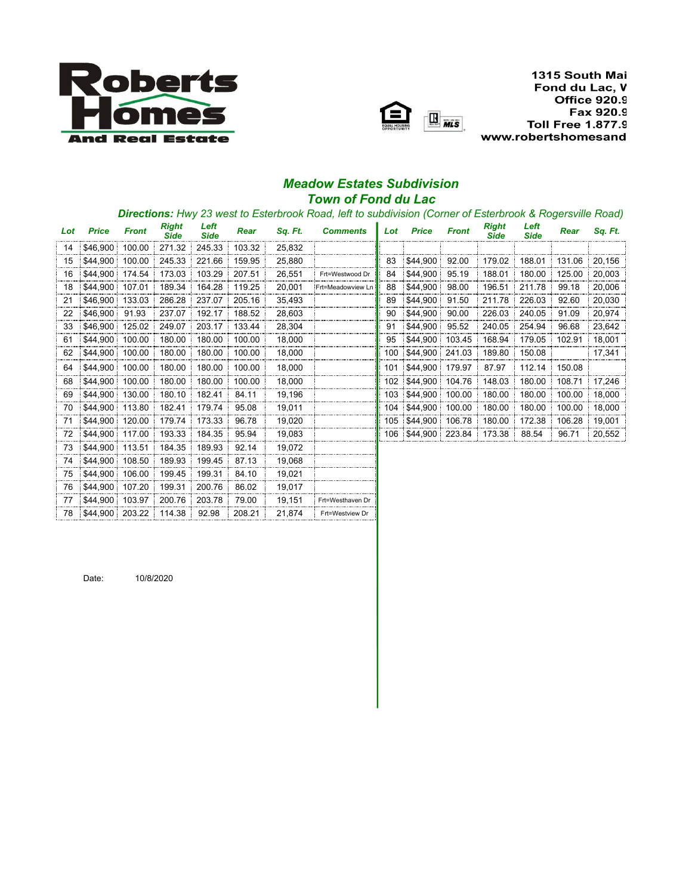



1315 South Mai Fond du Lac, V **Office 920.9** Fax 920.9 **Toll Free 1.877.9** www.robertshomesand

## *Meadow Estates Subdivision Town of Fond du Lac*

## *Directions: Hwy 23 west to Esterbrook Road, left to subdivision (Corner of Esterbrook & Rogersville Road)*

| Lot | <b>Price</b> | <b>Front</b> | <b>Right</b><br><b>Side</b> | Left<br><b>Side</b> | Rear   | Sq. Ft. | <b>Comments</b>    | Lot | <b>Price</b> | <b>Front</b> | <b>Right</b><br><b>Side</b> | Left<br><b>Side</b> | Rear   | Sq. Ft. |
|-----|--------------|--------------|-----------------------------|---------------------|--------|---------|--------------------|-----|--------------|--------------|-----------------------------|---------------------|--------|---------|
| 14  | \$46,900     | 100.00       | 271.32                      | 245.33              | 103.32 | 25,832  |                    |     |              |              |                             |                     |        |         |
| 15  | \$44,900     | 100.00       | 245.33                      | 221.66              | 159.95 | 25,880  |                    | 83  | \$44,900     | 92.00        | 179.02                      | 188.01              | 131.06 | 20,156  |
| 16  | \$44.900     | 174.54       | 173.03                      | 103.29              | 207.51 | 26,551  | Frt=Westwood Dr    | 84  | \$44,900     | 95.19        | 188.01                      | 180.00              | 125.00 | 20,003  |
| 18  | \$44,900     | 107.01       | 189.34                      | 164.28              | 119.25 | 20,001  | :Frt=Meadowview Ln | 88  | \$44,900     | 98.00        | 196.51                      | 211.78              | 99.18  | 20,006  |
| 21  | \$46,900     | 133.03       | 286.28                      | 237.07              | 205.16 | 35,493  |                    | 89  | \$44,900     | 91.50        | 211.78                      | 226.03              | 92.60  | 20,030  |
| 22  | \$46,900     | 91.93        | 237.07                      | 192.17              | 188.52 | 28,603  |                    | 90  | \$44,900     | 90.00        | 226.03                      | 240.05              | 91.09  | 20,974  |
| 33  | \$46,900     | 125.02       | 249.07                      | 203.17              | 133.44 | 28,304  |                    | 91  | \$44,900     | 95.52        | 240.05                      | 254.94              | 96.68  | 23,642  |
| 61  | \$44,900     | 100.00       | 180.00                      | 180.00              | 100.00 | 18,000  |                    | 95  | \$44.900     | 103.45       | 168.94                      | 179.05              | 102.91 | 18,001  |
| 62  | \$44,900     | 100.00       | 180.00                      | 180.00              | 100.00 | 18,000  |                    | 100 | \$44,900:    | 241.03       | 189.80                      | 150.08              |        | 17,341  |
| 64  | \$44,900     | 100.00       | 180.00                      | 180.00              | 100.00 | 18,000  |                    | 101 | \$44,900     | 179.97       | 87.97                       | 112.14              | 150.08 |         |
| 68  | \$44.900     | 100.00       | 180.00                      | 180.00              | 100.00 | 18,000  |                    | 102 | \$44.900:    | 104.76       | 148.03                      | 180.00              | 108.71 | 17,246  |
| 69  | \$44,900     | 130.00       | 180.10                      | 182.41              | 84.11  | 19.196  |                    | 103 | \$44.900:    | 100.00       | 180.00                      | 180.00              | 100.00 | 18.000  |
| 70  | \$44.900     | 113.80       | 182.41                      | 179.74              | 95.08  | 19,011  |                    | 104 | \$44,900     | 100.00       | 180.00                      | 180.00              | 100.00 | 18,000  |
| 71  | \$44,900     | 120.00       | 179.74                      | 173.33              | 96.78  | 19,020  |                    | 105 | \$44,900:    | 106.78       | 180.00                      | 172.38              | 106.28 | 19,001  |
| 72  | \$44.900     | 117.00       | 193.33                      | 184.35              | 95.94  | 19,083  |                    | 106 | \$44.900:    | 223.84       | 173.38                      | 88.54               | 96.71  | 20,552  |
| 73  | \$44,900     | 113.51       | 184.35                      | 189.93              | 92.14  | 19,072  |                    |     |              |              |                             |                     |        |         |
| 74  | \$44.900     | 108.50       | 189.93                      | 199.45              | 87.13  | 19,068  |                    |     |              |              |                             |                     |        |         |
| 75  | \$44,900     | 106.00       | 199.45                      | 199.31              | 84.10  | 19,021  |                    |     |              |              |                             |                     |        |         |
| 76  | \$44,900     | 107.20       | 199.31                      | 200.76              | 86.02  | 19,017  |                    |     |              |              |                             |                     |        |         |
| 77  | \$44,900     | 103.97       | 200.76                      | 203.78              | 79.00  | 19,151  | Frt=Westhaven Dr   |     |              |              |                             |                     |        |         |
| 78  | \$44.900     | 203.22       | 114.38                      | 92.98               | 208.21 | 21.874  | Frt=Westview Dr    |     |              |              |                             |                     |        |         |

Date: 10/8/2020